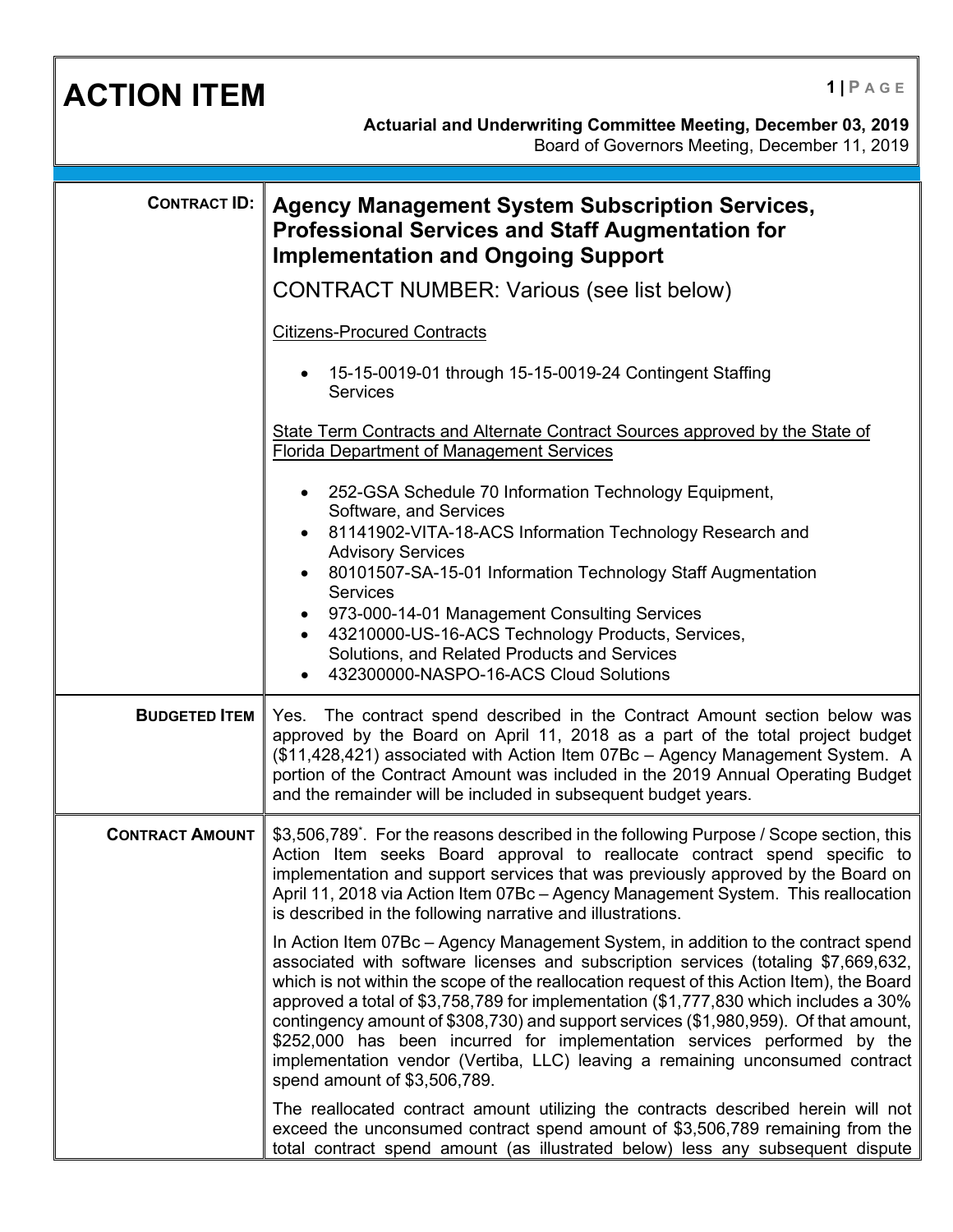| <b>ACTION ITEM</b>     | $1$   PAGE<br>Actuarial and Underwriting Committee Meeting, December 03, 2019<br>Board of Governors Meeting, December 11, 2019                                                                                                                                                                                                                                                                                                                                                                                                                                                                                                                   |
|------------------------|--------------------------------------------------------------------------------------------------------------------------------------------------------------------------------------------------------------------------------------------------------------------------------------------------------------------------------------------------------------------------------------------------------------------------------------------------------------------------------------------------------------------------------------------------------------------------------------------------------------------------------------------------|
| <b>CONTRACT ID:</b>    | <b>Agency Management System Subscription Services,</b><br><b>Professional Services and Staff Augmentation for</b><br><b>Implementation and Ongoing Support</b><br><b>CONTRACT NUMBER: Various (see list below)</b>                                                                                                                                                                                                                                                                                                                                                                                                                               |
|                        | <b>Citizens-Procured Contracts</b><br>15-15-0019-01 through 15-15-0019-24 Contingent Staffing<br>Services                                                                                                                                                                                                                                                                                                                                                                                                                                                                                                                                        |
|                        | State Term Contracts and Alternate Contract Sources approved by the State of<br><b>Florida Department of Management Services</b><br>252-GSA Schedule 70 Information Technology Equipment,<br>Software, and Services<br>81141902-VITA-18-ACS Information Technology Research and<br><b>Advisory Services</b><br>80101507-SA-15-01 Information Technology Staff Augmentation<br><b>Services</b><br>973-000-14-01 Management Consulting Services<br>43210000-US-16-ACS Technology Products, Services,<br>Solutions, and Related Products and Services<br>432300000-NASPO-16-ACS Cloud Solutions                                                     |
| <b>BUDGETED ITEM</b>   | Yes. The contract spend described in the Contract Amount section below was<br>approved by the Board on April 11, 2018 as a part of the total project budget<br>(\$11,428,421) associated with Action Item 07Bc - Agency Management System. A<br>portion of the Contract Amount was included in the 2019 Annual Operating Budget<br>and the remainder will be included in subsequent budget years.                                                                                                                                                                                                                                                |
| <b>CONTRACT AMOUNT</b> | \$3,506,789 <sup>*</sup> . For the reasons described in the following Purpose / Scope section, this<br>Action Item seeks Board approval to reallocate contract spend specific to<br>implementation and support services that was previously approved by the Board on<br>April 11, 2018 via Action Item 07Bc - Agency Management System. This reallocation<br>is described in the following narrative and illustrations.                                                                                                                                                                                                                          |
|                        | In Action Item 07Bc – Agency Management System, in addition to the contract spend<br>associated with software licenses and subscription services (totaling \$7,669,632,<br>which is not within the scope of the reallocation request of this Action Item), the Board<br>approved a total of \$3,758,789 for implementation (\$1,777,830 which includes a 30%<br>contingency amount of \$308,730) and support services (\$1,980,959). Of that amount,<br>\$252,000 has been incurred for implementation services performed by the<br>implementation vendor (Vertiba, LLC) leaving a remaining unconsumed contract<br>spend amount of \$3,506,789. |
|                        | The reallocated contract amount utilizing the contracts described herein will not<br>exceed the unconsumed contract spend amount of \$3,506,789 remaining from the<br>total contract spend amount (as illustrated below) less any subsequent dispute                                                                                                                                                                                                                                                                                                                                                                                             |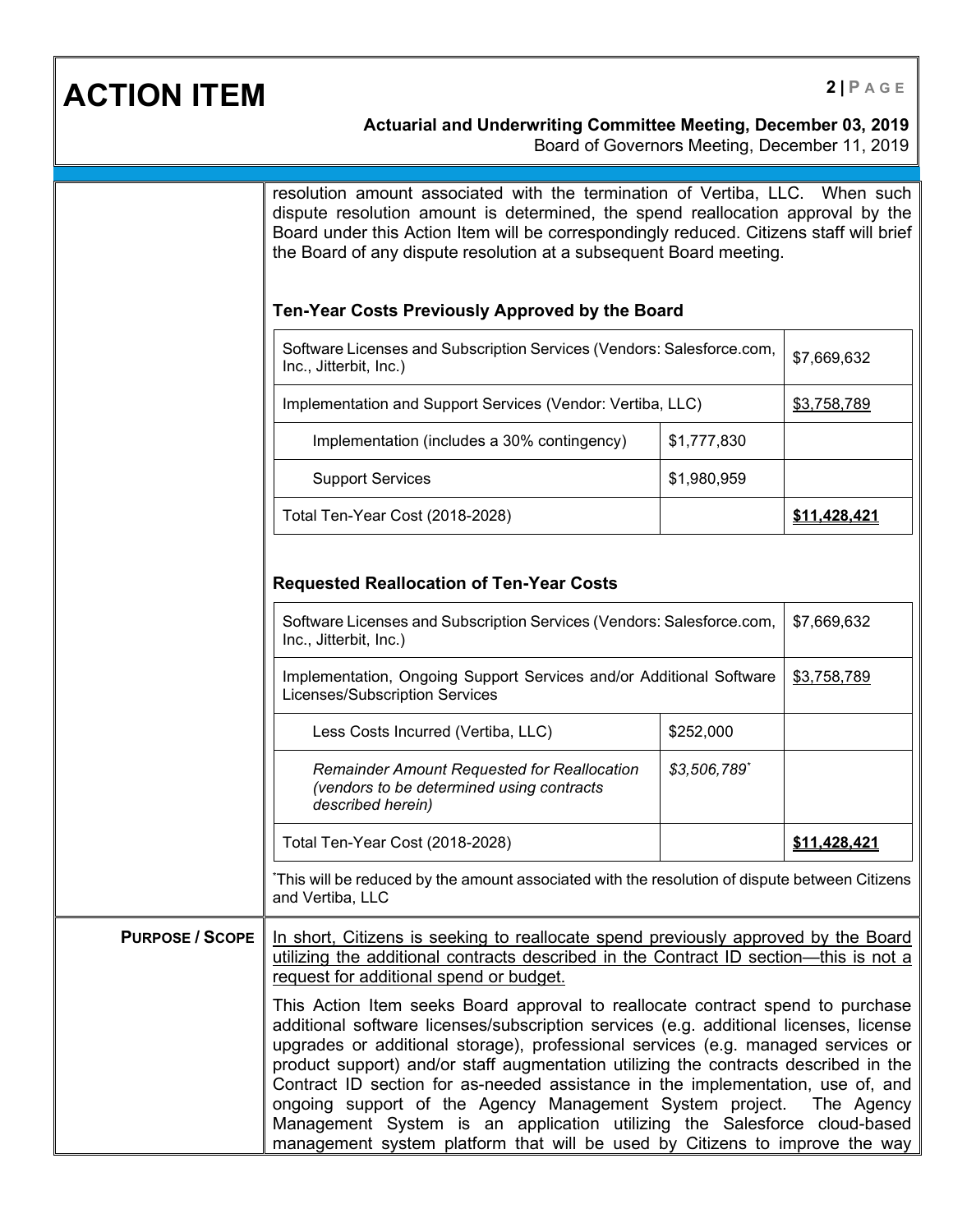## **ACTION ITEM 2 PAGE**

## **Actuarial and Underwriting Committee Meeting, December 03, 2019**

Board of Governors Meeting, December 11, 2019

|                        | resolution amount associated with the termination of Vertiba, LLC. When such<br>dispute resolution amount is determined, the spend reallocation approval by the<br>Board under this Action Item will be correspondingly reduced. Citizens staff will brief<br>the Board of any dispute resolution at a subsequent Board meeting.<br>Ten-Year Costs Previously Approved by the Board                                                                                                                                                                                                                                                                          |              |              |
|------------------------|--------------------------------------------------------------------------------------------------------------------------------------------------------------------------------------------------------------------------------------------------------------------------------------------------------------------------------------------------------------------------------------------------------------------------------------------------------------------------------------------------------------------------------------------------------------------------------------------------------------------------------------------------------------|--------------|--------------|
|                        | Software Licenses and Subscription Services (Vendors: Salesforce.com,                                                                                                                                                                                                                                                                                                                                                                                                                                                                                                                                                                                        |              |              |
|                        | Inc., Jitterbit, Inc.)                                                                                                                                                                                                                                                                                                                                                                                                                                                                                                                                                                                                                                       |              | \$7,669,632  |
|                        | Implementation and Support Services (Vendor: Vertiba, LLC)                                                                                                                                                                                                                                                                                                                                                                                                                                                                                                                                                                                                   |              | \$3,758,789  |
|                        | Implementation (includes a 30% contingency)                                                                                                                                                                                                                                                                                                                                                                                                                                                                                                                                                                                                                  | \$1,777,830  |              |
|                        | <b>Support Services</b>                                                                                                                                                                                                                                                                                                                                                                                                                                                                                                                                                                                                                                      | \$1,980,959  |              |
|                        | Total Ten-Year Cost (2018-2028)                                                                                                                                                                                                                                                                                                                                                                                                                                                                                                                                                                                                                              |              | \$11,428,421 |
|                        | <b>Requested Reallocation of Ten-Year Costs</b>                                                                                                                                                                                                                                                                                                                                                                                                                                                                                                                                                                                                              |              |              |
|                        | Software Licenses and Subscription Services (Vendors: Salesforce.com,<br>Inc., Jitterbit, Inc.)<br>Implementation, Ongoing Support Services and/or Additional Software<br>Licenses/Subscription Services                                                                                                                                                                                                                                                                                                                                                                                                                                                     |              | \$7,669,632  |
|                        |                                                                                                                                                                                                                                                                                                                                                                                                                                                                                                                                                                                                                                                              |              | \$3,758,789  |
|                        | Less Costs Incurred (Vertiba, LLC)                                                                                                                                                                                                                                                                                                                                                                                                                                                                                                                                                                                                                           | \$252,000    |              |
|                        | <b>Remainder Amount Requested for Reallocation</b><br>(vendors to be determined using contracts<br>described herein)                                                                                                                                                                                                                                                                                                                                                                                                                                                                                                                                         | \$3,506,789* |              |
|                        | Total Ten-Year Cost (2018-2028)                                                                                                                                                                                                                                                                                                                                                                                                                                                                                                                                                                                                                              |              | \$11,428,421 |
|                        | This will be reduced by the amount associated with the resolution of dispute between Citizens<br>and Vertiba, LLC                                                                                                                                                                                                                                                                                                                                                                                                                                                                                                                                            |              |              |
| <b>PURPOSE / SCOPE</b> | In short, Citizens is seeking to reallocate spend previously approved by the Board<br>utilizing the additional contracts described in the Contract ID section—this is not a<br>request for additional spend or budget.                                                                                                                                                                                                                                                                                                                                                                                                                                       |              |              |
|                        | This Action Item seeks Board approval to reallocate contract spend to purchase<br>additional software licenses/subscription services (e.g. additional licenses, license<br>upgrades or additional storage), professional services (e.g. managed services or<br>product support) and/or staff augmentation utilizing the contracts described in the<br>Contract ID section for as-needed assistance in the implementation, use of, and<br>ongoing support of the Agency Management System project.<br>Management System is an application utilizing the Salesforce cloud-based<br>management system platform that will be used by Citizens to improve the way |              | The Agency   |